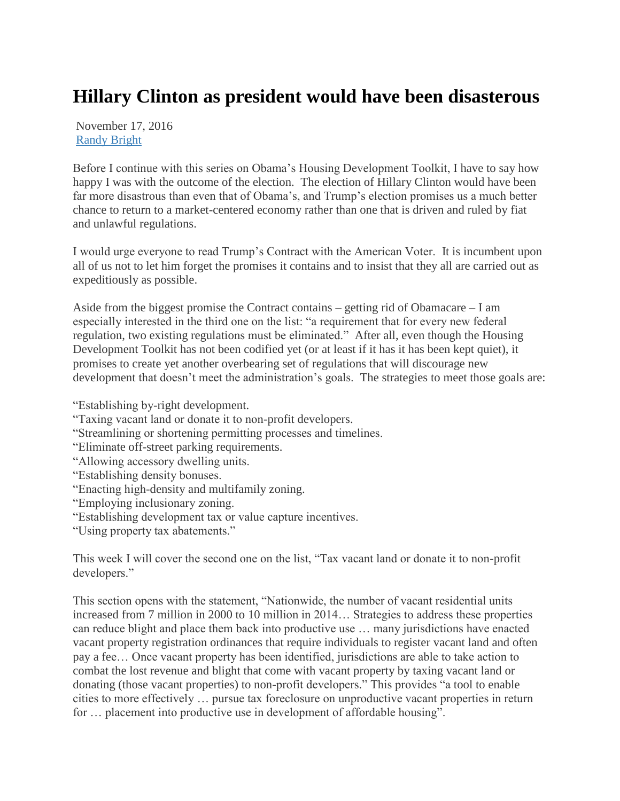## **Hillary Clinton as president would have been disasterous**

November 17, 2016 [Randy Bright](http://tulsabeacon.com/author/randy-bright/)

Before I continue with this series on Obama's Housing Development Toolkit, I have to say how happy I was with the outcome of the election. The election of Hillary Clinton would have been far more disastrous than even that of Obama's, and Trump's election promises us a much better chance to return to a market-centered economy rather than one that is driven and ruled by fiat and unlawful regulations.

I would urge everyone to read Trump's Contract with the American Voter. It is incumbent upon all of us not to let him forget the promises it contains and to insist that they all are carried out as expeditiously as possible.

Aside from the biggest promise the Contract contains – getting rid of Obamacare – I am especially interested in the third one on the list: "a requirement that for every new federal regulation, two existing regulations must be eliminated." After all, even though the Housing Development Toolkit has not been codified yet (or at least if it has it has been kept quiet), it promises to create yet another overbearing set of regulations that will discourage new development that doesn't meet the administration's goals. The strategies to meet those goals are:

"Establishing by-right development.

- "Taxing vacant land or donate it to non-profit developers.
- "Streamlining or shortening permitting processes and timelines.
- "Eliminate off-street parking requirements.
- "Allowing accessory dwelling units.
- "Establishing density bonuses.
- "Enacting high-density and multifamily zoning.
- "Employing inclusionary zoning.
- "Establishing development tax or value capture incentives.

"Using property tax abatements."

This week I will cover the second one on the list, "Tax vacant land or donate it to non-profit developers."

This section opens with the statement, "Nationwide, the number of vacant residential units increased from 7 million in 2000 to 10 million in 2014… Strategies to address these properties can reduce blight and place them back into productive use … many jurisdictions have enacted vacant property registration ordinances that require individuals to register vacant land and often pay a fee… Once vacant property has been identified, jurisdictions are able to take action to combat the lost revenue and blight that come with vacant property by taxing vacant land or donating (those vacant properties) to non-profit developers." This provides "a tool to enable cities to more effectively … pursue tax foreclosure on unproductive vacant properties in return for … placement into productive use in development of affordable housing".